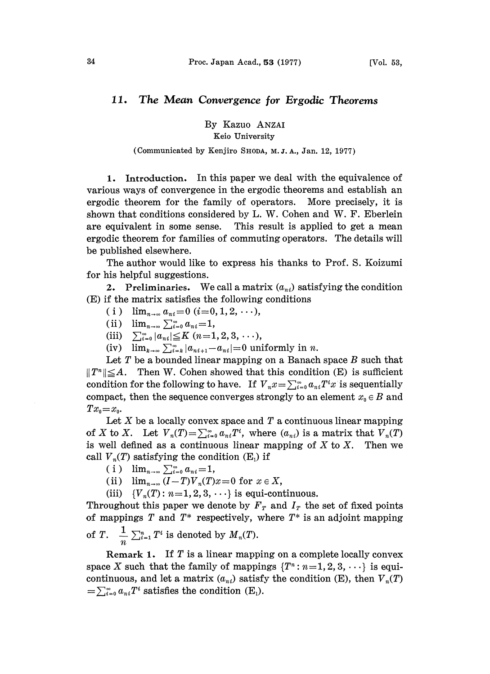## 11. The Mean Convergence for Ergodic Theorems

By Kazuo ANZAI Keio University

## (Communicated by Kenjiro SHODA, M.J.A., Jan. 12, 1977)

1. Introduction. In this paper we deal with the equivalence of various ways of convergence in the ergodic theorems and establish an ergodic theorem for the family of operators. More precisely, it is shown that conditions considered by L. W. Cohen and W. F. Eberlein are equivalent in some sense. This result is applied to get a mean ergodic theorem for families of commuting operators. The details will be published elsewhere.

The author would like to express his thanks to Prof. S. Koizumi for his helpful suggestions.

2. Preliminaries. We call a matrix  $(a_{ni})$  satisfying the condition (E) if the matrix satisfies the following conditions

- (i)  $\lim_{n\to\infty} a_{ni} = 0$  (i=0, 1, 2, ...),
- (ii)  $\lim_{n \to \infty} \sum_{i=0}^{\infty} a_{ni} = 1,$ <br>(iii)  $\sum_{i=0}^{\infty} |a_{ni}| \leq K (n=1)$
- $\sum_{i=0}^{\infty} |a_{ni}| \leq K \ (n=1, 2, 3, \ldots),$
- (iv)  $\lim_{k\to\infty}\sum_{i=k}^{\infty} |a_{n+i}-a_{ni}|=0$  uniformly in n.

Let T be a bounded linear mapping on a Banach space  $B$  such that  $||T^*|| \leq A$ . Then W. Cohen showed that this condition (E) is sufficient condition for the following to have. If  $V_n x = \sum_{i=0}^{\infty} a_{ni} T^i x$  is sequentially compact, then the sequence converges strongly to an element  $x_0 \in B$  and  $Tx_0=x_0$ .

Let  $X$  be a locally convex space and  $T$  a continuous linear mapping of X to X. Let  $V_n(T) = \sum_{i=0}^{\infty} a_{ni} T^i$ , where  $(a_{ni})$  is a matrix that  $V_n(T)$ is well defined as a continuous linear mapping of  $X$  to  $X$ . Then we call  $V_n(T)$  satisfying the condition (E<sub>1</sub>) if

- ( i )  $\lim_{n\to\infty}\sum_{i=0}^{\infty} a_{ni}=1$ ,
- (ii)  $\lim_{n\to\infty} (I-T)V_n(T)x=0$  for  $x \in X$ ,
- (iii)  ${V_n(T) : n=1, 2, 3, \cdots}$  is equi-continuous.

Throughout this paper we denote by  $F<sub>T</sub>$  and  $I<sub>T</sub>$  the set of fixed points of mappings  $T$  and  $T^*$  respectively, where  $T^*$  is an adjoint mapping of T.  $\frac{1}{n} \sum_{i=1}^n T^i$  is denoted by  $M_n(T)$ .

Remark 1. If T is a linear mapping on a complete locally convex space X such that the family of mappings  $\{T^n : n=1, 2, 3, \cdots\}$  is equicontinuous, and let a matrix  $(a_{ni})$  satisfy the condition (E), then  $V_n(T)$  $=\sum_{i=0}^{\infty} a_{ni} T^i$  satisfies the condition (E<sub>1</sub>).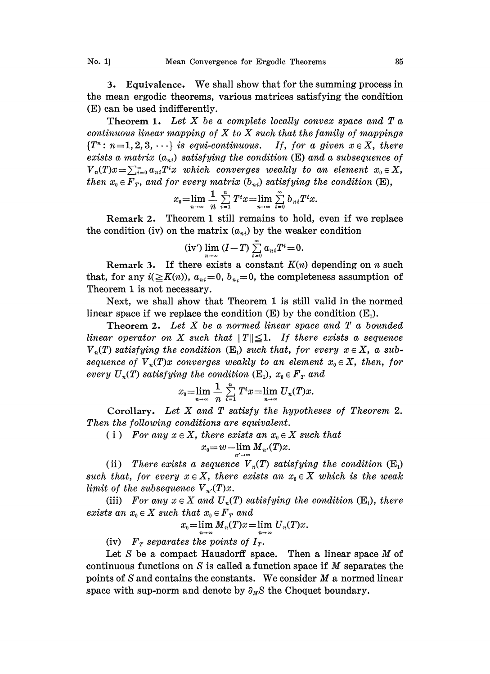3. Equivalence. We shall show that for the summing process in the mean ergodic theorems, various matrices satisfying the condition (E) can be used indifferently.

Theorem 1. Let  $X$  be a complete locally convex space and  $T$  a continuous linear mapping of  $X$  to  $X$  such that the family of mappings  ${T<sup>n</sup>: n=1,2,3,\cdots}$  is equi-continuous. If, for a given  $x \in X$ , there exists a matrix  $(a_{ni})$  satisfying the condition (E) and a subsequence of  $V_n(T)x=\sum_{i=0}^\infty a_{ni}T^ix$  which converges weakly to an element  $x_0\in X$ , then  $x_0 \in F_T$ , and for every matrix  $(b_{ni})$  satisfying the condition (E),

$$
x_0 = \lim_{n \to \infty} \frac{1}{n} \sum_{i=1}^n T^i x = \lim_{n \to \infty} \sum_{i=0}^{\infty} b_{ni} T^i x.
$$

Remark 2. Theorem <sup>1</sup> still remains to hold, even if we replace the condition (iv) on the matrix  $(a_{ni})$  by the weaker condition

(iv') 
$$
\lim_{n\to\infty} (I-T) \sum_{i=0}^{\infty} a_{ni}T^i=0.
$$

Remark 3. If there exists a constant  $K(n)$  depending on n such that, for any  $i(\geq K(n))$ ,  $a_{ni}=0$ ,  $b_{ni}=0$ , the completeness assumption of Theorem 1 is not necessary.

Next, we shall show hat Theorem <sup>I</sup> is sill valid in the normed linear space if we replace the condition  $(E)$  by the condition  $(E_1)$ .

Theorem 2. Let  $X$  be a normed linear space and  $T$  a bounded linear operator on X such that  $||T|| \leq 1$ . If there exists a sequence  $V_n(T)$  satisfying the condition (E<sub>1</sub>) such that, for every  $x \in X$ , a subsequence of  $V_n(T)x$  converges weakly to an element  $x_0 \in X$ , then, for every  $U_n(T)$  satisfying the condition  $(E_1)$ ,  $x_0 \in F_T$  and

$$
x_0=\lim_{n\to\infty}\frac{1}{n}\sum_{i=1}^n T^ix=\lim_{n\to\infty}U_n(T)x.
$$

Corollary. Let X and T satisfy the hypotheses of Theorem 2. Then the following conditions are equivalent.

(i) For any  $x \in X$ , there exists an  $x_0 \in X$  such that

$$
x_0 = w - \lim_{n' \to \infty} M_{n'}(T)x.
$$

(ii) There exists a sequence  $V_n(T)$  satisfying the condition  $(E_1)$ such that, for every  $x \in X$ , there exists an  $x_0 \in X$  which is the weak limit of the subsequence  $V_{n'}(T)x$ .

(iii) For any  $x \in X$  and  $U_n(T)$  satisfying the condition  $(E_1)$ , there exists an  $x_0 \in X$  such that  $x_0 \in F_T$  and

$$
x_0 = \lim_{n \to \infty} M_n(T)x = \lim_{n \to \infty} U_n(T)x.
$$

(iv)  $F_T$  separates the points of  $I_T$ .

Let S be a compact Hausdorff space. Then a linear space  $M$  of continuous functions on S is called a function space if M separates the points of  $S$  and contains the constants. We consider  $M$  a normed linear space with sup-norm and denote by  $\partial_M S$  the Choquet boundary.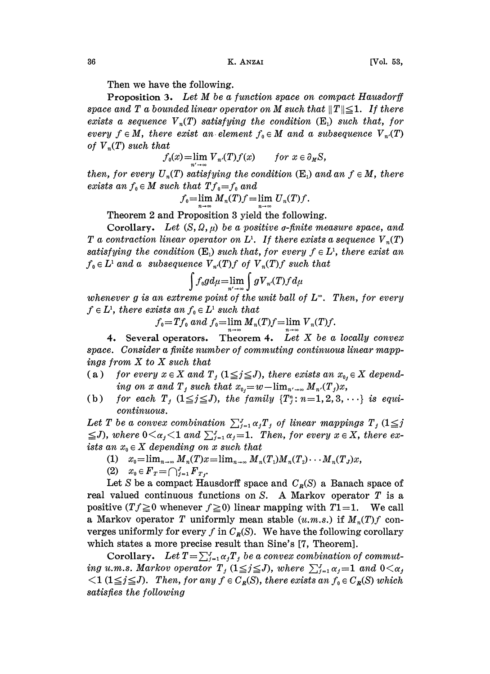Then we have the following.

**Proposition 3.** Let  $M$  be a function space on compact Hausdorff space and T a bounded linear operator on M such that  $||T|| \leq 1$ . If there exists a sequence  $V_n(T)$  satisfying the condition  $(E_1)$  such that, for every  $f \in M$ , there exist an element  $f_0 \in M$  and a subsequence  $V_{n'}(T)$ of  $V_n(T)$  such that

$$
f_0(x) = \lim_{n' \to \infty} V_{n'}(T) f(x) \quad \text{for } x \in \partial_M S,
$$

then, for every  $U_n(T)$  satisfying the condition  $(E_1)$  and an  $f \in M$ , there exists an  $f_0 \in M$  such that  $Tf_0=f_0$  and

$$
f_0=\lim_{n\to\infty}M_n(T)f=\lim_{n\to\infty}U_n(T)f.
$$

Theorem 2 and Proposition 3 yield the following.

Corollary. Let  $(S, Q, \mu)$  be a positive *o*-finite measure space, and T a contraction linear operator on  $L^1$ . If there exists a sequence  $V_n(T)$ satisfying the condition  $(E_1)$  such that, for every  $f \in L^1$ , there exist an  $f_0 \in L^1$  and a subsequence  $V_{n}(T)f$  of  $V_{n}(T)f$  such that

$$
\int f_0 g d\mu = \lim_{n' \to \infty} \int g \overline{V}_{n'}(T) f d\mu
$$

whenever g is an extreme point of the unit ball of  $L^{\infty}$ . Then, for every  $f \in L^1$ , there exists an  $f_0 \in L^1$  such that

 $f_0 = Tf_0$  and  $f_0 = \lim_{n \to \infty} M_n(T)f = \lim_{n \to \infty} V_n(T)f$ 

4. Several operators. Theorem 4. Let  $X$  be a locally convex space. Consider a finite number of commuting continuous linear mappings from X to X such that

- (a) for every  $x \in X$  and  $T_j$   $(1 \leq j \leq J)$ , there exists an  $x_{0,j} \in X$  depending on x and  $T_j$  such that  $x_{0j}=w-\lim_{n'\to\infty}M_{n'}(T_j)x$ ,
- (b) for each  $T_j$  ( $1 \leq j \leq J$ ), the family  $\{T_j^n : n=1,2,3,\cdots\}$  is equicontinuous.

Let T be a convex combination  $\sum_{j=1}^{J} \alpha_j T_j$  of linear mappings  $T_j$  (1 $\leq j$ continuous.<br>Let T be a convex combination  $\sum_{j=1}^{J} \alpha_j T_j$  of linear mappings  $T_j$  ( $1 \leq j$ <br> $\leq J$ ), where  $0 \leq \alpha_j < 1$  and  $\sum_{j=1}^{J} \alpha_j = 1$ . Then, for every  $x \in X$ , there exists an  $x_0 \in X$  depending on x such that

- (1)  $x_0 = \lim_{n \to \infty} M_n(T)x = \lim_{n \to \infty} M_n(T_1)M_n(T_2) \cdots M_n(T_J)x,$
- (2)  $x_0 \in F_T = \bigcap_{j=1}^J F_{T_j}.$

Let S be a compact Hausdorff space and  $C_R(S)$  a Banach space of real valued continuous functions on S. A Markov operator T is <sup>a</sup> positive  $(Tf\geq 0$  whenever  $f\geq 0$ ) linear mapping with  $T1 = 1$ . We call a Markov operator T uniformly mean stable  $(u.m.s.)$  if  $M_n(T)f$  converges uniformly for every f in  $C_R(S)$ . We have the following corollary which states a more precise result than Sine's [7, Theorem].

Corollary. Let  $T = \sum_{i=1}^J \alpha_i T_i$  be a convex combination of commuting u.m.s. Markov operator  $T_j$  ( $1 \leq j \leq J$ ), where  $\sum_{j=1}^{J} \alpha_j = 1$  and  $0 < \alpha_j$  $\langle 1 (1 \leq j \leq J)$ . Then, for any  $f \in C_R(S)$ , there exists an  $f_0 \in C_R(S)$  which satisfies the following